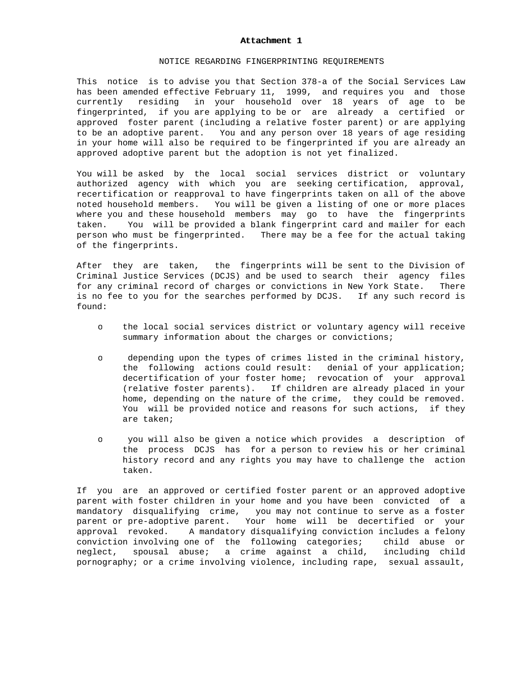## Attachment 1

## NOTICE REGARDING FINGERPRINTING REQUIREMENTS

This notice is to advise you that Section 378-a of the Social Services Law has been amended effective February 11, 1999, and requires you and those currently residing in your household over 18 years of age to be fingerprinted, if you are applying to be or are already a certified or approved foster parent (including a relative foster parent) or are applying to be an adoptive parent. You and any person over 18 years of age residing in your home will also be required to be fingerprinted if you are already an approved adoptive parent but the adoption is not yet finalized.

You will be asked by the local social services district or voluntary authorized agency with which you are seeking certification, approval, recertification or reapproval to have fingerprints taken on all of the above noted household members. You will be given a listing of one or more places where you and these household members may go to have the fingerprints taken. You will be provided a blank fingerprint card and mailer for each person who must be fingerprinted. There may be a fee for the actual taking of the fingerprints.

After they are taken, the fingerprints will be sent to the Division of Criminal Justice Services (DCJS) and be used to search their agency files for any criminal record of charges or convictions in New York State. There is no fee to you for the searches performed by DCJS. If any such record is found:

- o the local social services district or voluntary agency will receive summary information about the charges or convictions;
- o depending upon the types of crimes listed in the criminal history, the following actions could result: denial of your application; decertification of your foster home; revocation of your approval (relative foster parents). If children are already placed in your home, depending on the nature of the crime, they could be removed. You will be provided notice and reasons for such actions, if they are taken;
- o you will also be given a notice which provides a description of the process DCJS has for a person to review his or her criminal history record and any rights you may have to challenge the action taken.

If you are an approved or certified foster parent or an approved adoptive parent with foster children in your home and you have been convicted of a mandatory disqualifying crime, you may not continue to serve as a foster parent or pre-adoptive parent. Your home will be decertified or your approval revoked. A mandatory disqualifying conviction includes a felony conviction involving one of the following categories; child abuse or neglect, spousal abuse; a crime against a child, including child pornography; or a crime involving violence, including rape, sexual assault,